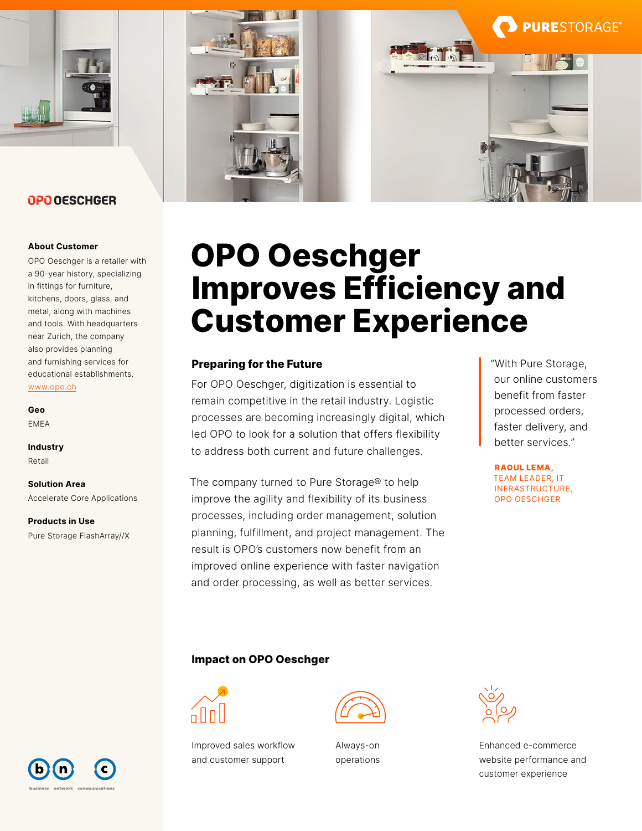

## OPO OESCHGER

#### **About Customer**

OPO Oeschger is a retailer with a 90-year history, specializing in fittings for furniture, kitchens, doors, glass, and metal, along with machines and tools. With headquarters near Zurich, the company also provides planning and furnishing services for educational establishments. [www.opo.ch](http://www.opo.ch)

**Geo** EMEA

**Industry** Retail

**Solution Area** Accelerate Core Applications

**Products in Use** Pure Storage FlashArray//X



# **OPO Oeschger Improves Efficiency and Customer Experience**

## **Preparing for the Future**

For OPO Oeschger, digitization is essential to remain competitive in the retail industry. Logistic processes are becoming increasingly digital, which led OPO to look for a solution that offers flexibility to address both current and future challenges.

The company turned to Pure Storage® to help improve the agility and flexibility of its business processes, including order management, solution planning, fulfillment, and project management. The result is OPO's customers now benefit from an improved online experience with faster navigation and order processing, as well as better services.

"With Pure Storage, our online customers benefit from faster processed orders, faster delivery, and better services."

**PURE**STORAGE®

**RAOUL LEMA,**  TEAM LEADER, IT INFRASTRUCTURE, OPO OESCHGER

## **Impact on OPO Oeschger**



Improved sales workflow and customer support



Always-on operations



Enhanced e-commerce website performance and customer experience